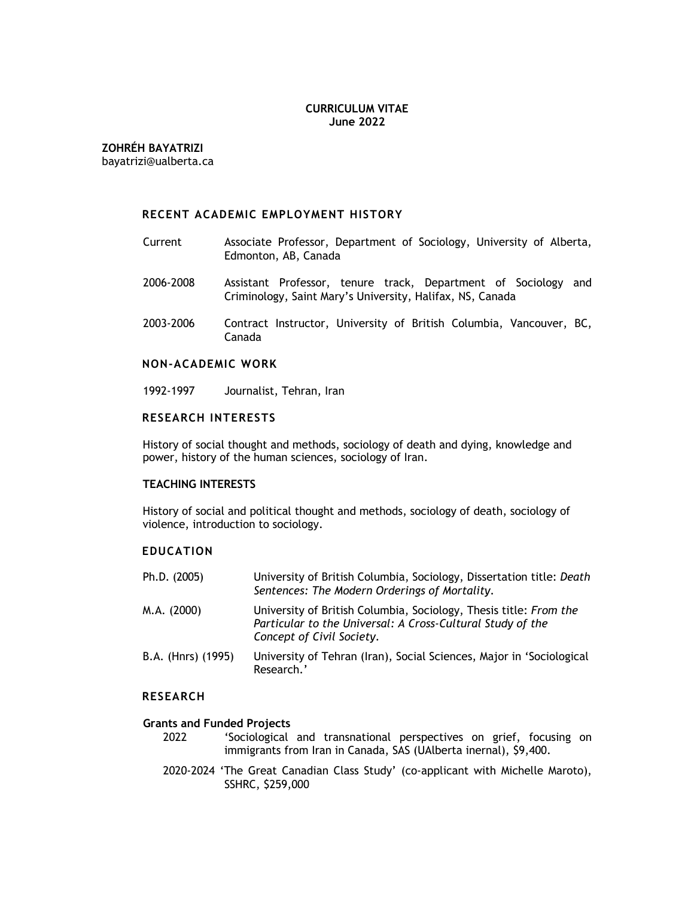## **CURRICULUM VITAE June 2022**

**ZOHRÉH BAYATRIZI**

bayatrizi@ualberta.ca

## **RECENT ACADEMIC EMPLOYMENT HISTORY**

- Current Associate Professor, Department of Sociology, University of Alberta, Edmonton, AB, Canada
- 2006-2008 Assistant Professor, tenure track, Department of Sociology and Criminology, Saint Mary's University, Halifax, NS, Canada
- 2003-2006 Contract Instructor, University of British Columbia, Vancouver, BC, Canada

## **NON-ACADEMIC WORK**

1992-1997 Journalist, Tehran, Iran

## **RESEARCH INTERESTS**

History of social thought and methods, sociology of death and dying, knowledge and power, history of the human sciences, sociology of Iran.

#### **TEACHING INTERESTS**

History of social and political thought and methods, sociology of death, sociology of violence, introduction to sociology.

## **EDUCATION**

| Ph.D. (2005)       | University of British Columbia, Sociology, Dissertation title: Death<br>Sentences: The Modern Orderings of Mortality.                                        |
|--------------------|--------------------------------------------------------------------------------------------------------------------------------------------------------------|
| M.A. (2000)        | University of British Columbia, Sociology, Thesis title: From the<br>Particular to the Universal: A Cross-Cultural Study of the<br>Concept of Civil Society. |
| B.A. (Hnrs) (1995) | University of Tehran (Iran), Social Sciences, Major in 'Sociological<br>Research '                                                                           |

#### **RESEARCH**

#### **Grants and Funded Projects**

- 2022 'Sociological and transnational perspectives on grief, focusing on immigrants from Iran in Canada, SAS (UAlberta inernal), \$9,400.
- 2020-2024 'The Great Canadian Class Study' (co-applicant with Michelle Maroto), SSHRC, \$259,000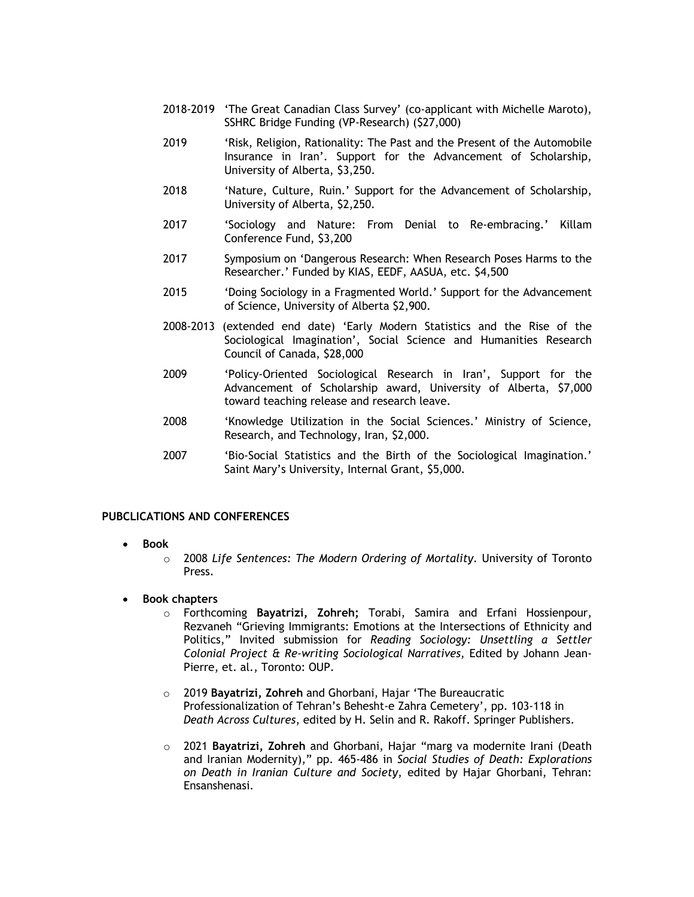- 2018-2019 'The Great Canadian Class Survey' (co-applicant with Michelle Maroto), SSHRC Bridge Funding (VP-Research) (\$27,000)
- 2019 'Risk, Religion, Rationality: The Past and the Present of the Automobile Insurance in Iran'. Support for the Advancement of Scholarship, University of Alberta, \$3,250.
- 2018 'Nature, Culture, Ruin.' Support for the Advancement of Scholarship, University of Alberta, \$2,250.
- 2017 'Sociology and Nature: From Denial to Re-embracing.' Killam Conference Fund, \$3,200
- 2017 Symposium on 'Dangerous Research: When Research Poses Harms to the Researcher.' Funded by KIAS, EEDF, AASUA, etc. \$4,500
- 2015 'Doing Sociology in a Fragmented World.' Support for the Advancement of Science, University of Alberta \$2,900.
- 2008-2013 (extended end date) 'Early Modern Statistics and the Rise of the Sociological Imagination', Social Science and Humanities Research Council of Canada, \$28,000
- 2009 'Policy-Oriented Sociological Research in Iran', Support for the Advancement of Scholarship award, University of Alberta, \$7,000 toward teaching release and research leave.
- 2008 'Knowledge Utilization in the Social Sciences.' Ministry of Science, Research, and Technology, Iran, \$2,000.
- 2007 'Bio-Social Statistics and the Birth of the Sociological Imagination.' Saint Mary's University, Internal Grant, \$5,000.

## **PUBCLICATIONS AND CONFERENCES**

- **Book**
	- o 2008 *Life Sentences: The Modern Ordering of Mortality*. University of Toronto Press.
- **Book chapters**
	- o Forthcoming **Bayatrizi, Zohreh;** Torabi, Samira and Erfani Hossienpour, Rezvaneh "Grieving Immigrants: Emotions at the Intersections of Ethnicity and Politics," Invited submission for *Reading Sociology: Unsettling a Settler Colonial Project & Re-writing Sociological Narratives*, Edited by Johann Jean-Pierre, et. al., Toronto: OUP.
	- o 2019 **Bayatrizi, Zohreh** and Ghorbani, Hajar 'The Bureaucratic Professionalization of Tehran's Behesht-e Zahra Cemetery', pp. 103-118 in *Death Across Cultures*, edited by H. Selin and R. Rakoff. Springer Publishers.
	- o 2021 **Bayatrizi, Zohreh** and Ghorbani, Hajar "marg va modernite Irani (Death and Iranian Modernity)," pp. 465-486 in *Social Studies of Death: Explorations on Death in Iranian Culture and Society*, edited by Hajar Ghorbani, Tehran: Ensanshenasi.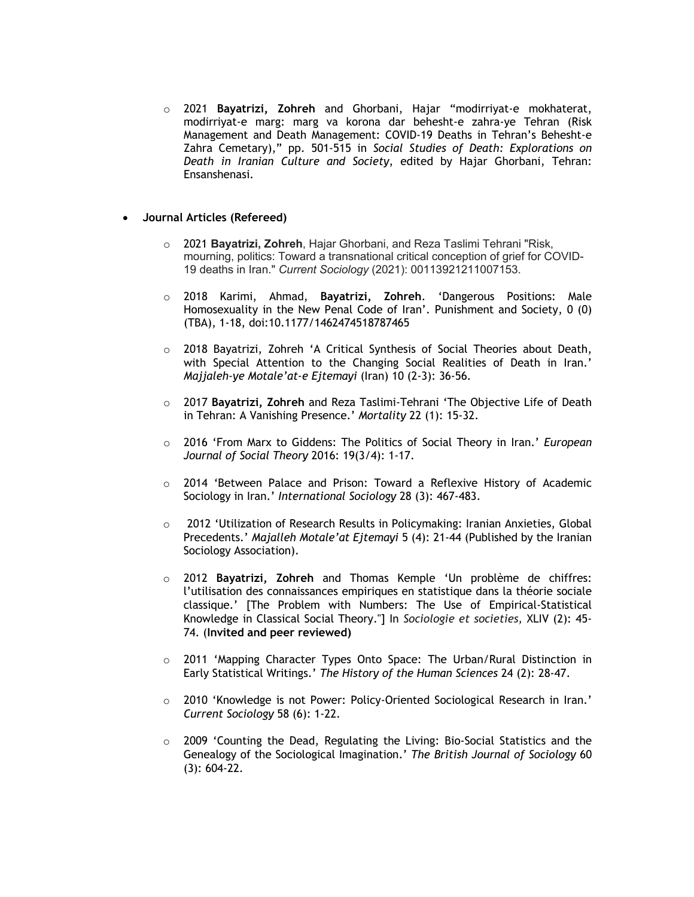o 2021 **Bayatrizi, Zohreh** and Ghorbani, Hajar "modirriyat-e mokhaterat, modirriyat-e marg: marg va korona dar behesht-e zahra-ye Tehran (Risk Management and Death Management: COVID-19 Deaths in Tehran's Behesht-e Zahra Cemetary)," pp. 501-515 in *Social Studies of Death: Explorations on Death in Iranian Culture and Society*, edited by Hajar Ghorbani, Tehran: Ensanshenasi.

## • **Journal Articles (Refereed)**

- o 2021 **Bayatrizi, Zohreh**, Hajar Ghorbani, and Reza Taslimi Tehrani "Risk, mourning, politics: Toward a transnational critical conception of grief for COVID-19 deaths in Iran." *Current Sociology* (2021): 00113921211007153.
- o 2018 Karimi, Ahmad, **Bayatrizi, Zohreh**. 'Dangerous Positions: Male Homosexuality in the New Penal Code of Iran'. Punishment and Society, 0 (0) (TBA), 1-18, doi:10.1177/1462474518787465
- $\circ$  2018 Bayatrizi, Zohreh 'A Critical Synthesis of Social Theories about Death, with Special Attention to the Changing Social Realities of Death in Iran.' *Majjaleh-ye Motale'at-e Ejtemayi* (Iran) 10 (2-3): 36-56.
- o 2017 **Bayatrizi, Zohreh** and Reza Taslimi-Tehrani 'The Objective Life of Death in Tehran: A Vanishing Presence.' *Mortality* 22 (1): 15-32.
- o 2016 'From Marx to Giddens: The Politics of Social Theory in Iran.' *European Journal of Social Theory* 2016: 19(3/4): 1-17.
- $\circ$  2014 'Between Palace and Prison: Toward a Reflexive History of Academic Sociology in Iran.' *International Sociology* 28 (3): 467-483.
- o 2012 'Utilization of Research Results in Policymaking: Iranian Anxieties, Global Precedents.' *Majalleh Motale'at Ejtemayi* 5 (4): 21-44 (Published by the Iranian Sociology Association).
- o 2012 **Bayatrizi, Zohreh** and Thomas Kemple 'Un problème de chiffres: l'utilisation des connaissances empiriques en statistique dans la théorie sociale classique.' [The Problem with Numbers: The Use of Empirical-Statistical Knowledge in Classical Social Theory."] In *Sociologie et societies,* XLIV (2): 45- 74. (**Invited and peer reviewed)**
- o 2011 'Mapping Character Types Onto Space: The Urban/Rural Distinction in Early Statistical Writings.' *The History of the Human Sciences* 24 (2): 28-47.
- o 2010 'Knowledge is not Power: Policy-Oriented Sociological Research in Iran.' *Current Sociology* 58 (6): 1-22.
- $\circ$  2009 'Counting the Dead, Regulating the Living: Bio-Social Statistics and the Genealogy of the Sociological Imagination.' *The British Journal of Sociology* 60 (3): 604-22.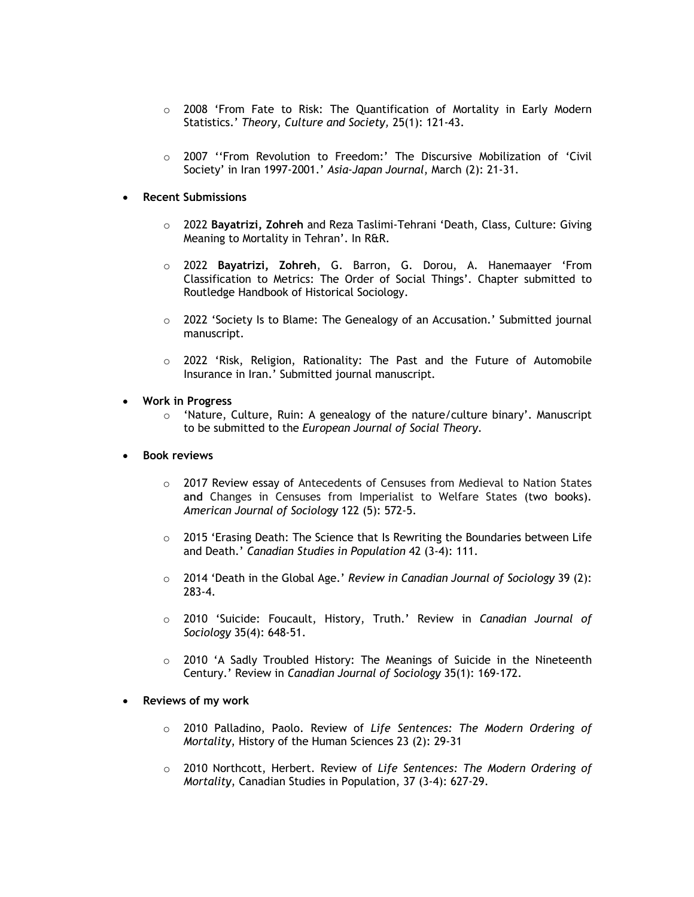- $\circ$  2008 'From Fate to Risk: The Quantification of Mortality in Early Modern Statistics.' *Theory, Culture and Society,* 25(1): 121-43.
- o 2007 ''From Revolution to Freedom:' The Discursive Mobilization of 'Civil Society' in Iran 1997-2001.' *Asia-Japan Journal*, March (2): 21-31.

## • **Recent Submissions**

- o 2022 **Bayatrizi, Zohreh** and Reza Taslimi-Tehrani 'Death, Class, Culture: Giving Meaning to Mortality in Tehran'. In R&R.
- o 2022 **Bayatrizi, Zohreh**, G. Barron, G. Dorou, A. Hanemaayer 'From Classification to Metrics: The Order of Social Things'. Chapter submitted to Routledge Handbook of Historical Sociology.
- $\circ$  2022 'Society Is to Blame: The Genealogy of an Accusation.' Submitted journal manuscript.
- o 2022 'Risk, Religion, Rationality: The Past and the Future of Automobile Insurance in Iran.' Submitted journal manuscript*.*

## • **Work in Progress**

- $\circ$  'Nature, Culture, Ruin: A genealogy of the nature/culture binary'. Manuscript to be submitted to the *European Journal of Social Theory*.
- **Book reviews**
	- o 2017 Review essay of Antecedents of Censuses from Medieval to Nation States **and** Changes in Censuses from Imperialist to Welfare States (two books). *American Journal of Sociology* 122 (5): 572-5.
	- $\circ$  2015 'Erasing Death: The Science that Is Rewriting the Boundaries between Life and Death.' *Canadian Studies in Population* 42 (3-4): 111.
	- o 2014 'Death in the Global Age.' *Review in Canadian Journal of Sociology* 39 (2): 283-4.
	- o 2010 'Suicide: Foucault, History, Truth.' Review in *Canadian Journal of Sociology* 35(4): 648-51.
	- $\circ$  2010 'A Sadly Troubled History: The Meanings of Suicide in the Nineteenth Century.' Review in *Canadian Journal of Sociology* 35(1): 169-172.

# • **Reviews of my work**

- o 2010 Palladino, Paolo. Review of *Life Sentences: The Modern Ordering of Mortality*, History of the Human Sciences 23 (2): 29-31
- o 2010 Northcott, Herbert. Review of *Life Sentences: The Modern Ordering of Mortality*, Canadian Studies in Population, 37 (3-4): 627-29.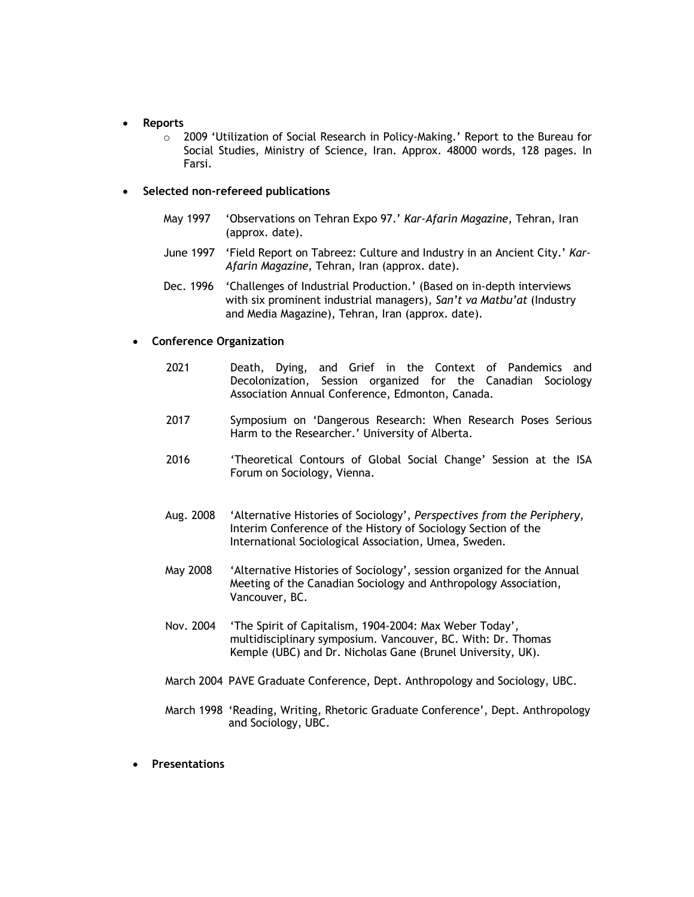## • **Reports**

o 2009 'Utilization of Social Research in Policy-Making.' Report to the Bureau for Social Studies, Ministry of Science, Iran. Approx. 48000 words, 128 pages. In Farsi.

## • **Selected non-refereed publications**

- May 1997 'Observations on Tehran Expo 97.' *Kar-Afarin Magazine*, Tehran, Iran (approx. date).
- June 1997 'Field Report on Tabreez: Culture and Industry in an Ancient City.' *Kar-Afarin Magazine*, Tehran, Iran (approx. date).
- Dec. 1996 'Challenges of Industrial Production.' (Based on in-depth interviews with six prominent industrial managers), *San't va Matbu'at* (Industry and Media Magazine), Tehran, Iran (approx. date).

## • **Conference Organization**

- 2021 Death, Dying, and Grief in the Context of Pandemics and Decolonization, Session organized for the Canadian Sociology Association Annual Conference, Edmonton, Canada.
- 2017 Symposium on 'Dangerous Research: When Research Poses Serious Harm to the Researcher.' University of Alberta.
- 2016 'Theoretical Contours of Global Social Change' Session at the ISA Forum on Sociology, Vienna.
- Aug. 2008 'Alternative Histories of Sociology', *Perspectives from the Periphery*, Interim Conference of the History of Sociology Section of the International Sociological Association, Umea, Sweden.
- May 2008 'Alternative Histories of Sociology', session organized for the Annual Meeting of the Canadian Sociology and Anthropology Association, Vancouver, BC.
- Nov. 2004 'The Spirit of Capitalism, 1904-2004: Max Weber Today', multidisciplinary symposium. Vancouver, BC. With: Dr. Thomas Kemple (UBC) and Dr. Nicholas Gane (Brunel University, UK).
- March 2004 PAVE Graduate Conference, Dept. Anthropology and Sociology, UBC.
- March 1998 'Reading, Writing, Rhetoric Graduate Conference', Dept. Anthropology and Sociology, UBC.
- **Presentations**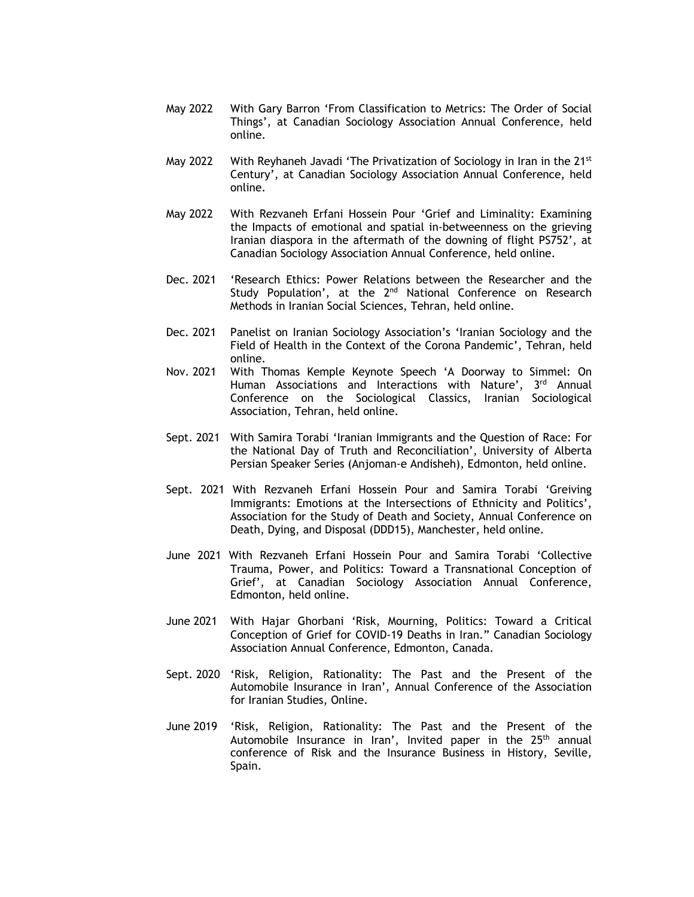- May 2022 With Gary Barron 'From Classification to Metrics: The Order of Social Things', at Canadian Sociology Association Annual Conference, held online.
- May 2022 With Reyhaneh Javadi 'The Privatization of Sociology in Iran in the 21<sup>st</sup> Century', at Canadian Sociology Association Annual Conference, held online.
- May 2022 With Rezvaneh Erfani Hossein Pour 'Grief and Liminality: Examining the Impacts of emotional and spatial in-betweenness on the grieving Iranian diaspora in the aftermath of the downing of flight PS752', at Canadian Sociology Association Annual Conference, held online.
- Dec. 2021 'Research Ethics: Power Relations between the Researcher and the Study Population', at the 2<sup>nd</sup> National Conference on Research Methods in Iranian Social Sciences, Tehran, held online.
- Dec. 2021 Panelist on Iranian Sociology Association's 'Iranian Sociology and the Field of Health in the Context of the Corona Pandemic', Tehran, held online.
- Nov. 2021 With Thomas Kemple Keynote Speech 'A Doorway to Simmel: On Human Associations and Interactions with Nature', 3rd Annual Conference on the Sociological Classics, Iranian Sociological Association, Tehran, held online.
- Sept. 2021 With Samira Torabi 'Iranian Immigrants and the Question of Race: For the National Day of Truth and Reconciliation', University of Alberta Persian Speaker Series (Anjoman-e Andisheh), Edmonton, held online.
- Sept. 2021 With Rezvaneh Erfani Hossein Pour and Samira Torabi 'Greiving Immigrants: Emotions at the Intersections of Ethnicity and Politics', Association for the Study of Death and Society, Annual Conference on Death, Dying, and Disposal (DDD15), Manchester, held online.
- June 2021 With Rezvaneh Erfani Hossein Pour and Samira Torabi 'Collective Trauma, Power, and Politics: Toward a Transnational Conception of Grief', at Canadian Sociology Association Annual Conference, Edmonton, held online.
- June 2021 With Hajar Ghorbani 'Risk, Mourning, Politics: Toward a Critical Conception of Grief for COVID-19 Deaths in Iran." Canadian Sociology Association Annual Conference, Edmonton, Canada.
- Sept. 2020 'Risk, Religion, Rationality: The Past and the Present of the Automobile Insurance in Iran', Annual Conference of the Association for Iranian Studies, Online.
- June 2019 'Risk, Religion, Rationality: The Past and the Present of the Automobile Insurance in Iran', Invited paper in the 25<sup>th</sup> annual conference of Risk and the Insurance Business in History, Seville, Spain.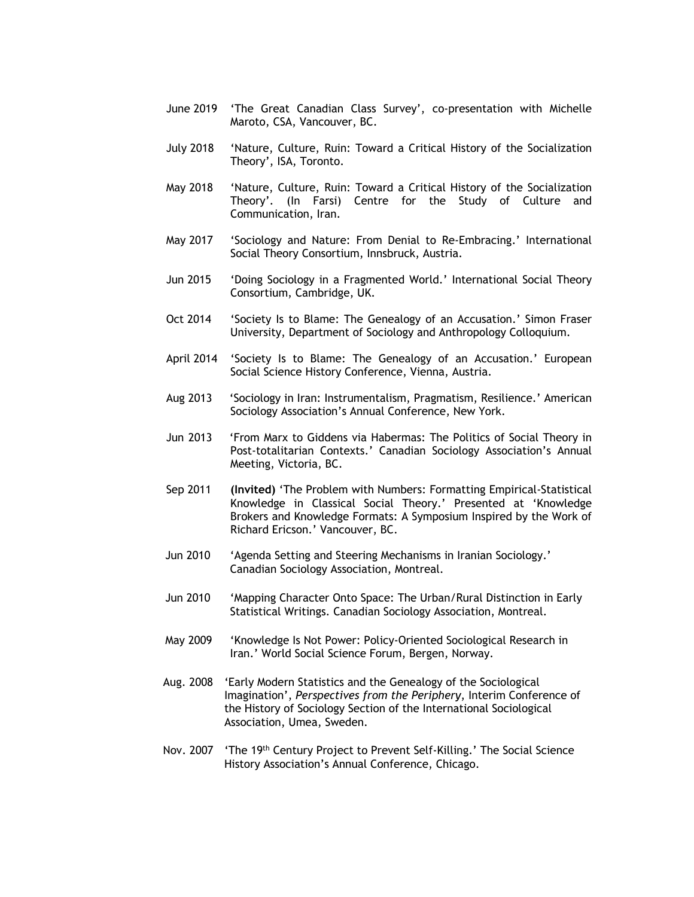- June 2019 'The Great Canadian Class Survey', co-presentation with Michelle Maroto, CSA, Vancouver, BC.
- July 2018 'Nature, Culture, Ruin: Toward a Critical History of the Socialization Theory', ISA, Toronto.
- May 2018 'Nature, Culture, Ruin: Toward a Critical History of the Socialization Theory'. (In Farsi) Centre for the Study of Culture and Communication, Iran.
- May 2017 'Sociology and Nature: From Denial to Re-Embracing.' International Social Theory Consortium, Innsbruck, Austria.
- Jun 2015 'Doing Sociology in a Fragmented World.' International Social Theory Consortium, Cambridge, UK.
- Oct 2014 'Society Is to Blame: The Genealogy of an Accusation.' Simon Fraser University, Department of Sociology and Anthropology Colloquium.
- April 2014 'Society Is to Blame: The Genealogy of an Accusation.' European Social Science History Conference, Vienna, Austria.
- Aug 2013 'Sociology in Iran: Instrumentalism, Pragmatism, Resilience.' American Sociology Association's Annual Conference, New York.
- Jun 2013 'From Marx to Giddens via Habermas: The Politics of Social Theory in Post-totalitarian Contexts.' Canadian Sociology Association's Annual Meeting, Victoria, BC.
- Sep 2011 **(Invited)** 'The Problem with Numbers: Formatting Empirical-Statistical Knowledge in Classical Social Theory.' Presented at 'Knowledge Brokers and Knowledge Formats: A Symposium Inspired by the Work of Richard Ericson.' Vancouver, BC.
- Jun 2010 'Agenda Setting and Steering Mechanisms in Iranian Sociology.' Canadian Sociology Association, Montreal.
- Jun 2010 'Mapping Character Onto Space: The Urban/Rural Distinction in Early Statistical Writings. Canadian Sociology Association, Montreal.
- May 2009 'Knowledge Is Not Power: Policy-Oriented Sociological Research in Iran.' World Social Science Forum, Bergen, Norway.
- Aug. 2008 'Early Modern Statistics and the Genealogy of the Sociological Imagination', *Perspectives from the Periphery*, Interim Conference of the History of Sociology Section of the International Sociological Association, Umea, Sweden.
- Nov. 2007 'The 19th Century Project to Prevent Self-Killing.' The Social Science History Association's Annual Conference, Chicago.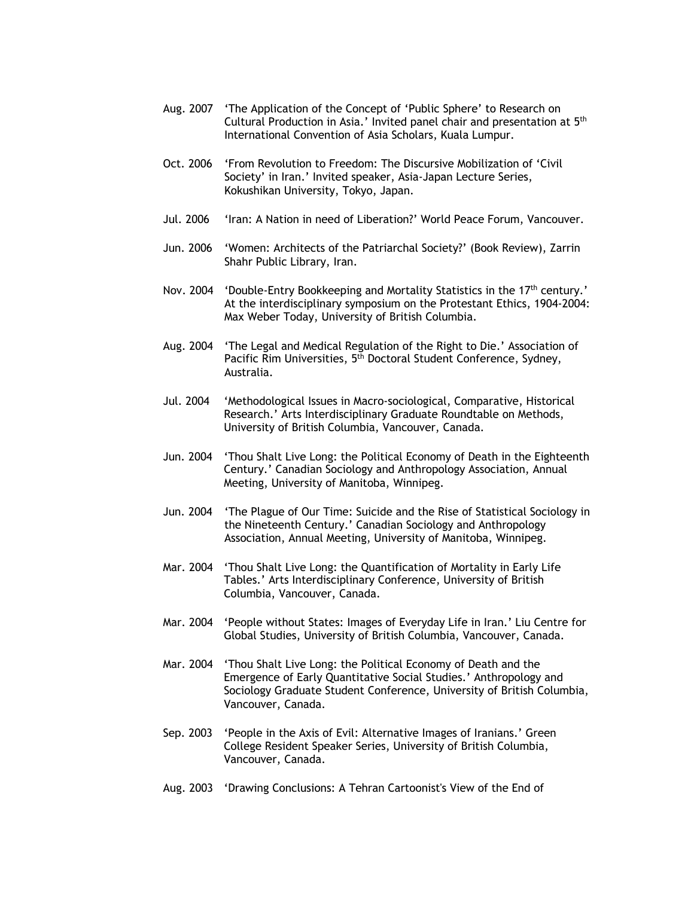- Aug. 2007 'The Application of the Concept of 'Public Sphere' to Research on Cultural Production in Asia.' Invited panel chair and presentation at 5th International Convention of Asia Scholars, Kuala Lumpur.
- Oct. 2006 'From Revolution to Freedom: The Discursive Mobilization of 'Civil Society' in Iran.' Invited speaker, Asia-Japan Lecture Series, Kokushikan University, Tokyo, Japan.
- Jul. 2006 'Iran: A Nation in need of Liberation?' World Peace Forum, Vancouver.
- Jun. 2006 'Women: Architects of the Patriarchal Society?' (Book Review), Zarrin Shahr Public Library, Iran.
- Nov. 2004 'Double-Entry Bookkeeping and Mortality Statistics in the 17<sup>th</sup> century.' At the interdisciplinary symposium on the Protestant Ethics, 1904-2004: Max Weber Today, University of British Columbia.
- Aug. 2004 'The Legal and Medical Regulation of the Right to Die.' Association of Pacific Rim Universities, 5<sup>th</sup> Doctoral Student Conference, Sydney, Australia.
- Jul. 2004 'Methodological Issues in Macro-sociological, Comparative, Historical Research.' Arts Interdisciplinary Graduate Roundtable on Methods, University of British Columbia, Vancouver, Canada.
- Jun. 2004 'Thou Shalt Live Long: the Political Economy of Death in the Eighteenth Century.' Canadian Sociology and Anthropology Association, Annual Meeting, University of Manitoba, Winnipeg.
- Jun. 2004 'The Plague of Our Time: Suicide and the Rise of Statistical Sociology in the Nineteenth Century.' Canadian Sociology and Anthropology Association, Annual Meeting, University of Manitoba, Winnipeg.
- Mar. 2004 'Thou Shalt Live Long: the Quantification of Mortality in Early Life Tables.' Arts Interdisciplinary Conference, University of British Columbia, Vancouver, Canada.
- Mar. 2004 'People without States: Images of Everyday Life in Iran.' Liu Centre for Global Studies, University of British Columbia, Vancouver, Canada.
- Mar. 2004 'Thou Shalt Live Long: the Political Economy of Death and the Emergence of Early Quantitative Social Studies.' Anthropology and Sociology Graduate Student Conference, University of British Columbia, Vancouver, Canada.
- Sep. 2003 'People in the Axis of Evil: Alternative Images of Iranians.' Green College Resident Speaker Series, University of British Columbia, Vancouver, Canada.
- Aug. 2003 'Drawing Conclusions: A Tehran Cartoonist's View of the End of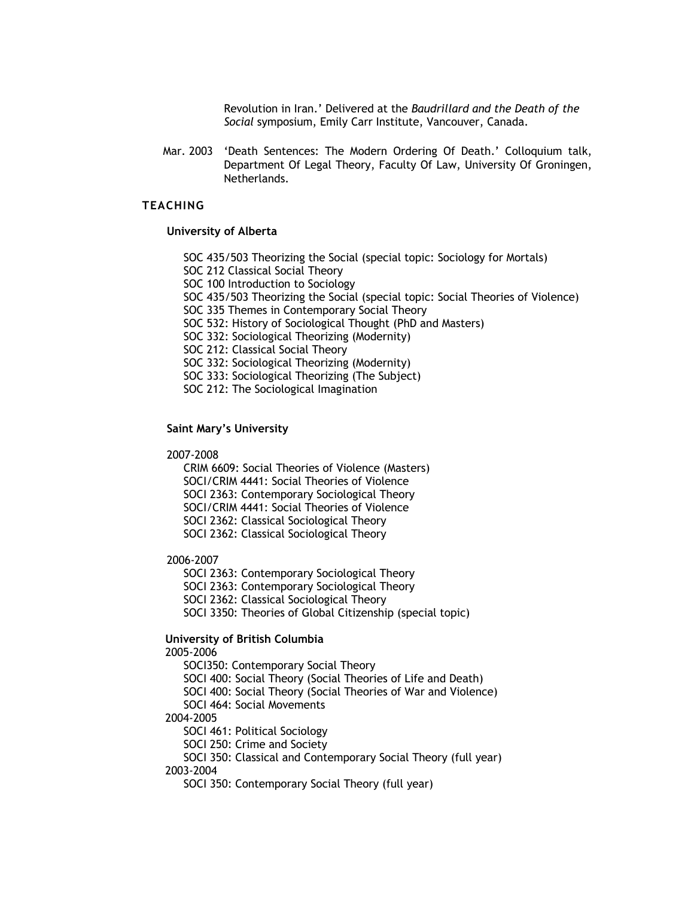Revolution in Iran.' Delivered at the *Baudrillard and the Death of the Social* symposium, Emily Carr Institute, Vancouver, Canada.

Mar. 2003 'Death Sentences: The Modern Ordering Of Death.' Colloquium talk, Department Of Legal Theory, Faculty Of Law, University Of Groningen, Netherlands.

# **TEACHING**

#### **University of Alberta**

SOC 435/503 Theorizing the Social (special topic: Sociology for Mortals)

SOC 212 Classical Social Theory

SOC 100 Introduction to Sociology

SOC 435/503 Theorizing the Social (special topic: Social Theories of Violence)

SOC 335 Themes in Contemporary Social Theory

SOC 532: History of Sociological Thought (PhD and Masters)

SOC 332: Sociological Theorizing (Modernity)

SOC 212: Classical Social Theory

SOC 332: Sociological Theorizing (Modernity)

SOC 333: Sociological Theorizing (The Subject)

SOC 212: The Sociological Imagination

#### **Saint Mary's University**

#### 2007-2008

CRIM 6609: Social Theories of Violence (Masters) SOCI/CRIM 4441: Social Theories of Violence SOCI 2363: Contemporary Sociological Theory SOCI/CRIM 4441: Social Theories of Violence SOCI 2362: Classical Sociological Theory SOCI 2362: Classical Sociological Theory

#### 2006-2007

SOCI 2363: Contemporary Sociological Theory

SOCI 2363: Contemporary Sociological Theory

SOCI 2362: Classical Sociological Theory

SOCI 3350: Theories of Global Citizenship (special topic)

# **University of British Columbia**

2005-2006

SOCI350: Contemporary Social Theory

SOCI 400: Social Theory (Social Theories of Life and Death)

SOCI 400: Social Theory (Social Theories of War and Violence)

SOCI 464: Social Movements

## 2004-2005

SOCI 461: Political Sociology

SOCI 250: Crime and Society

SOCI 350: Classical and Contemporary Social Theory (full year) 2003-2004

SOCI 350: Contemporary Social Theory (full year)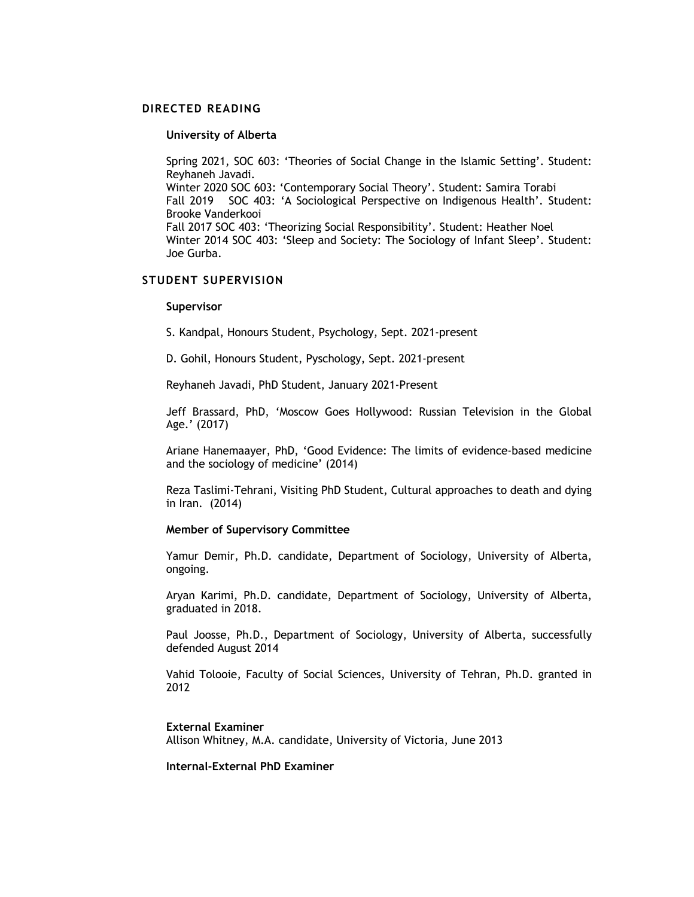#### **DIRECTED READING**

#### **University of Alberta**

Spring 2021, SOC 603: 'Theories of Social Change in the Islamic Setting'. Student: Reyhaneh Javadi. Winter 2020 SOC 603: 'Contemporary Social Theory'. Student: Samira Torabi Fall 2019 SOC 403: 'A Sociological Perspective on Indigenous Health'. Student: Brooke Vanderkooi Fall 2017 SOC 403: 'Theorizing Social Responsibility'. Student: Heather Noel Winter 2014 SOC 403: 'Sleep and Society: The Sociology of Infant Sleep'. Student: Joe Gurba.

# **STUDENT SUPERVISION**

#### **Supervisor**

S. Kandpal, Honours Student, Psychology, Sept. 2021-present

D. Gohil, Honours Student, Pyschology, Sept. 2021-present

Reyhaneh Javadi, PhD Student, January 2021-Present

Jeff Brassard, PhD, 'Moscow Goes Hollywood: Russian Television in the Global Age.' (2017)

Ariane Hanemaayer, PhD, 'Good Evidence: The limits of evidence-based medicine and the sociology of medicine' (2014)

Reza Taslimi-Tehrani, Visiting PhD Student, Cultural approaches to death and dying in Iran. (2014)

#### **Member of Supervisory Committee**

Yamur Demir, Ph.D. candidate, Department of Sociology, University of Alberta, ongoing.

Aryan Karimi, Ph.D. candidate, Department of Sociology, University of Alberta, graduated in 2018.

Paul Joosse, Ph.D., Department of Sociology, University of Alberta, successfully defended August 2014

Vahid Tolooie, Faculty of Social Sciences, University of Tehran, Ph.D. granted in 2012

#### **External Examiner** Allison Whitney, M.A. candidate, University of Victoria, June 2013

## **Internal-External PhD Examiner**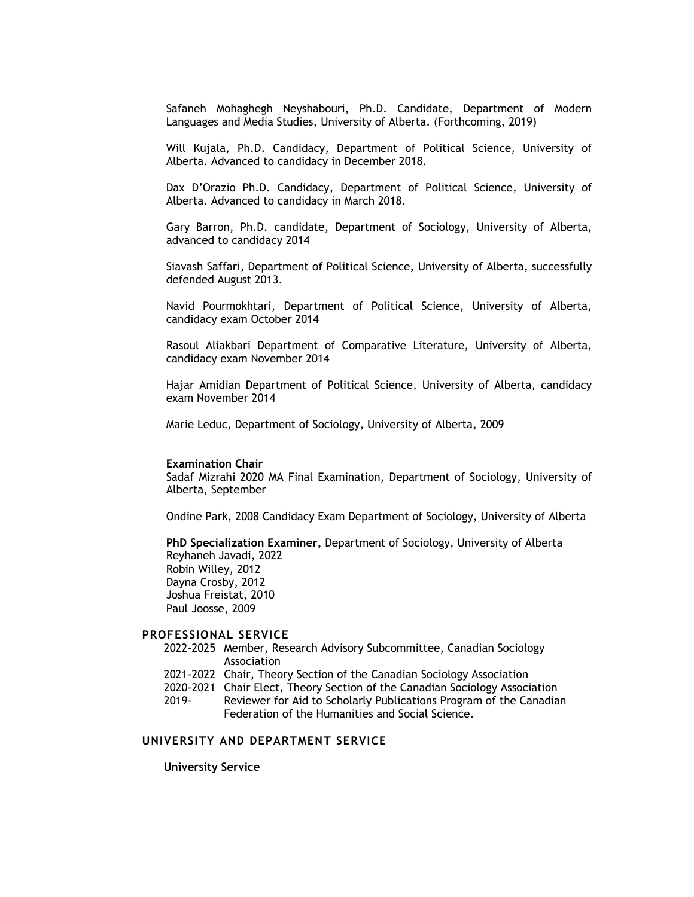Safaneh Mohaghegh Neyshabouri, Ph.D. Candidate, Department of Modern Languages and Media Studies, University of Alberta. (Forthcoming, 2019)

Will Kujala, Ph.D. Candidacy, Department of Political Science, University of Alberta. Advanced to candidacy in December 2018.

Dax D'Orazio Ph.D. Candidacy, Department of Political Science, University of Alberta. Advanced to candidacy in March 2018.

Gary Barron, Ph.D. candidate, Department of Sociology, University of Alberta, advanced to candidacy 2014

Siavash Saffari, Department of Political Science, University of Alberta, successfully defended August 2013.

Navid Pourmokhtari, Department of Political Science, University of Alberta, candidacy exam October 2014

Rasoul Aliakbari Department of Comparative Literature, University of Alberta, candidacy exam November 2014

Hajar Amidian Department of Political Science, University of Alberta, candidacy exam November 2014

Marie Leduc, Department of Sociology, University of Alberta, 2009

#### **Examination Chair**

Sadaf Mizrahi 2020 MA Final Examination, Department of Sociology, University of Alberta, September

Ondine Park, 2008 Candidacy Exam Department of Sociology, University of Alberta

**PhD Specialization Examiner,** Department of Sociology, University of Alberta Reyhaneh Javadi, 2022 Robin Willey, 2012 Dayna Crosby, 2012 Joshua Freistat, 2010 Paul Joosse, 2009

## **PROFESSIONAL SERVICE**

- 2022-2025 Member, Research Advisory Subcommittee, Canadian Sociology Association
- 2021-2022 Chair, Theory Section of the Canadian Sociology Association
- 2020-2021 Chair Elect, Theory Section of the Canadian Sociology Association
- 2019- Reviewer for Aid to Scholarly Publications Program of the Canadian Federation of the Humanities and Social Science.

# **UNIVERSITY AND DEPARTMENT SERVICE**

**University Service**